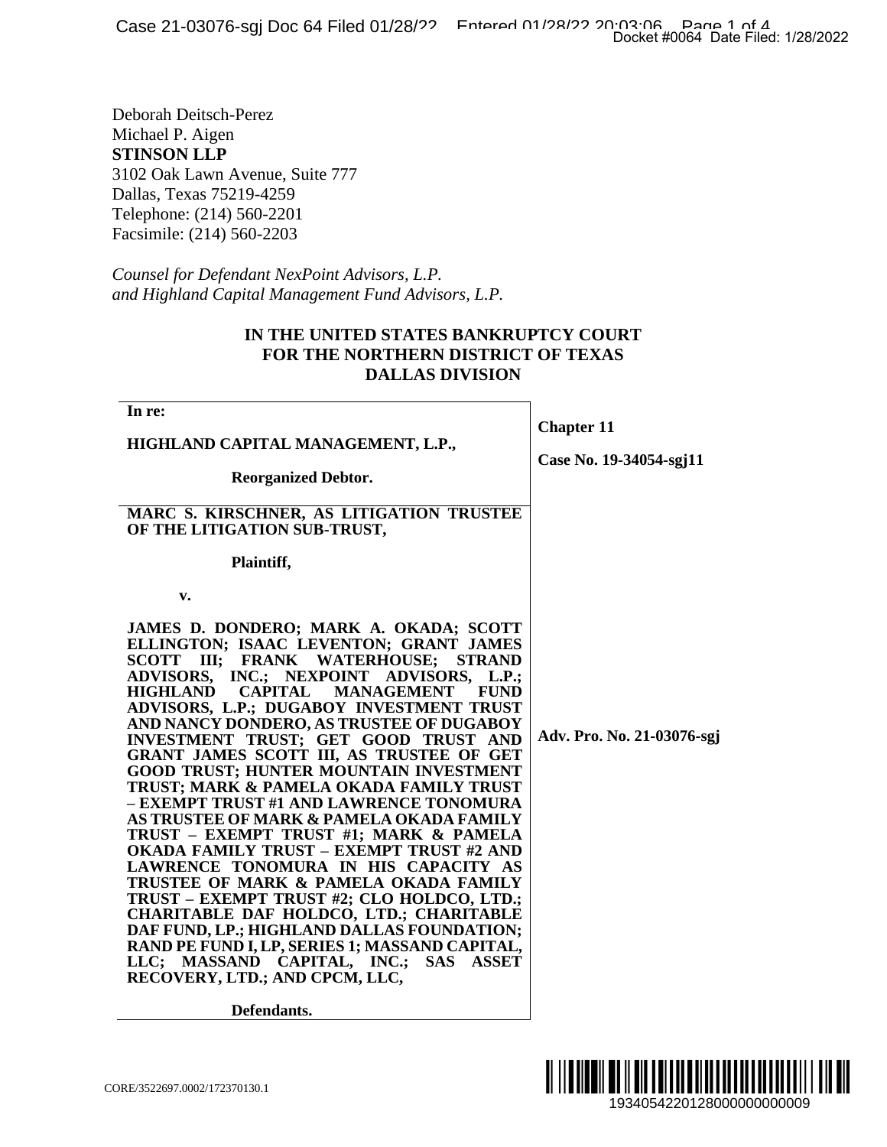## **IN THE UNITED STATES BANKRUPTCY COURT FOR THE NORTHERN DISTRICT OF TEXAS DALLAS DIVISION**

|                                                                                                                                                                                                                                                                                                                                                                                                                                                                                                                                                                                                                                                                                                                                                                                                                                                                                                                                                                                                                                                                                  | Docket #0064 Date Filed: 1/28/2022           |
|----------------------------------------------------------------------------------------------------------------------------------------------------------------------------------------------------------------------------------------------------------------------------------------------------------------------------------------------------------------------------------------------------------------------------------------------------------------------------------------------------------------------------------------------------------------------------------------------------------------------------------------------------------------------------------------------------------------------------------------------------------------------------------------------------------------------------------------------------------------------------------------------------------------------------------------------------------------------------------------------------------------------------------------------------------------------------------|----------------------------------------------|
| Deborah Deitsch-Perez<br><i>Aichael P. Aigen</i><br><b>TINSON LLP</b><br>102 Oak Lawn Avenue, Suite 777<br>Dallas, Texas 75219-4259<br>Felephone: (214) 560-2201<br>facsimile: (214) 560-2203<br>Counsel for Defendant NexPoint Advisors, L.P.                                                                                                                                                                                                                                                                                                                                                                                                                                                                                                                                                                                                                                                                                                                                                                                                                                   |                                              |
| nd Highland Capital Management Fund Advisors, L.P.<br>IN THE UNITED STATES BANKRUPTCY COURT<br><b>FOR THE NORTHERN DISTRICT OF TEXAS</b><br><b>DALLAS DIVISION</b>                                                                                                                                                                                                                                                                                                                                                                                                                                                                                                                                                                                                                                                                                                                                                                                                                                                                                                               |                                              |
| In re:<br>HIGHLAND CAPITAL MANAGEMENT, L.P.,<br><b>Reorganized Debtor.</b><br>MARC S. KIRSCHNER, AS LITIGATION TRUSTEE<br>OF THE LITIGATION SUB-TRUST,                                                                                                                                                                                                                                                                                                                                                                                                                                                                                                                                                                                                                                                                                                                                                                                                                                                                                                                           | <b>Chapter 11</b><br>Case No. 19-34054-sgj11 |
| Plaintiff,<br>v.<br>JAMES D. DONDERO; MARK A. OKADA; SCOTT<br>ELLINGTON; ISAAC LEVENTON; GRANT JAMES<br>SCOTT III; FRANK WATERHOUSE;<br><b>STRAND</b><br>ADVISORS, INC.; NEXPOINT<br>ADVISORS, L.P.;<br><b>HIGHLAND</b><br><b>CAPITAL</b><br><b>MANAGEMENT</b><br><b>FUND</b><br>ADVISORS, L.P.; DUGABOY INVESTMENT TRUST<br>AND NANCY DONDERO, AS TRUSTEE OF DUGABOY<br>INVESTMENT TRUST; GET GOOD TRUST AND<br>GRANT JAMES SCOTT III, AS TRUSTEE OF GET<br>GOOD TRUST; HUNTER MOUNTAIN INVESTMENT<br>TRUST; MARK & PAMELA OKADA FAMILY TRUST<br>- EXEMPT TRUST #1 AND LAWRENCE TONOMURA<br>AS TRUSTEE OF MARK & PAMELA OKADA FAMILY<br>TRUST - EXEMPT TRUST #1; MARK & PAMELA<br>OKADA FAMILY TRUST – EXEMPT TRUST #2 AND<br>LAWRENCE TONOMURA IN HIS CAPACITY AS<br>TRUSTEE OF MARK & PAMELA OKADA FAMILY<br>TRUST - EXEMPT TRUST #2; CLO HOLDCO, LTD.;<br>CHARITABLE DAF HOLDCO, LTD.; CHARITABLE<br>DAF FUND, LP.; HIGHLAND DALLAS FOUNDATION;<br>RAND PE FUND I, LP, SERIES 1; MASSAND CAPITAL,<br>LLC; MASSAND CAPITAL, INC.; SAS ASSET<br>RECOVERY, LTD.; AND CPCM, LLC, | Adv. Pro. No. 21-03076-sgj                   |
| Defendants.<br>RE/3522697.0002/172370130.1                                                                                                                                                                                                                                                                                                                                                                                                                                                                                                                                                                                                                                                                                                                                                                                                                                                                                                                                                                                                                                       |                                              |

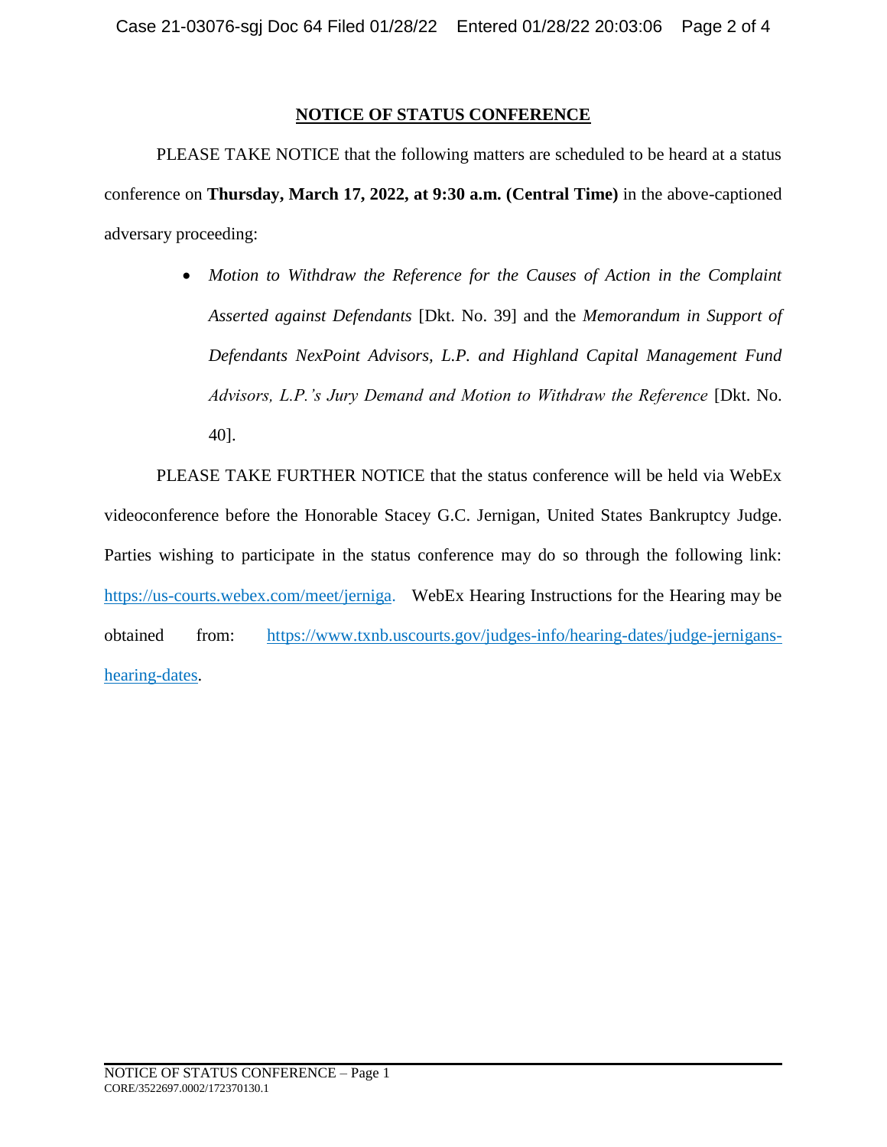## **NOTICE OF STATUS CONFERENCE**

PLEASE TAKE NOTICE that the following matters are scheduled to be heard at a status conference on **Thursday, March 17, 2022, at 9:30 a.m. (Central Time)** in the above-captioned adversary proceeding:

> *Motion to Withdraw the Reference for the Causes of Action in the Complaint Asserted against Defendants* [Dkt. No. 39] and the *Memorandum in Support of Defendants NexPoint Advisors, L.P. and Highland Capital Management Fund Advisors, L.P.'s Jury Demand and Motion to Withdraw the Reference* [Dkt. No. 40].

PLEASE TAKE FURTHER NOTICE that the status conference will be held via WebEx videoconference before the Honorable Stacey G.C. Jernigan, United States Bankruptcy Judge. Parties wishing to participate in the status conference may do so through the following link: [https://us-courts.webex.com/meet/jerniga.](https://us-courts.webex.com/meet/jerniga) WebEx Hearing Instructions for the Hearing may be obtained from: [https://www.txnb.uscourts.gov/judges-info/hearing-dates/judge-jernigans](https://www.txnb.uscourts.gov/judges-info/hearing-dates/judge-jernigans-hearing-dates)[hearing-dates.](https://www.txnb.uscourts.gov/judges-info/hearing-dates/judge-jernigans-hearing-dates)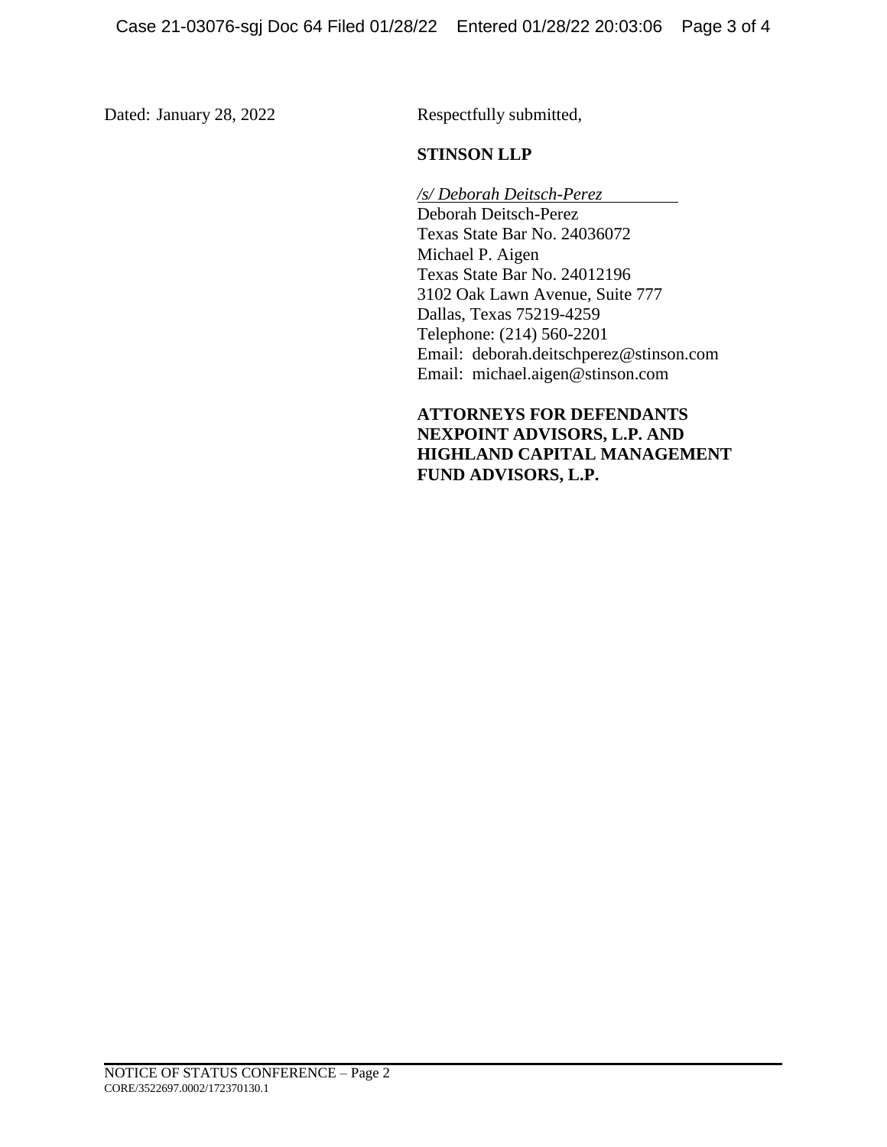Dated: January 28, 2022 Respectfully submitted,

## **STINSON LLP**

*/s/ Deborah Deitsch-Perez*  Deborah Deitsch-Perez Texas State Bar No. 24036072 Michael P. Aigen Texas State Bar No. 24012196 3102 Oak Lawn Avenue, Suite 777 Dallas, Texas 75219-4259 Telephone: (214) 560-2201 Email: deborah.deitschperez@stinson.com Email: michael.aigen@stinson.com

**ATTORNEYS FOR DEFENDANTS NEXPOINT ADVISORS, L.P. AND HIGHLAND CAPITAL MANAGEMENT FUND ADVISORS, L.P.**